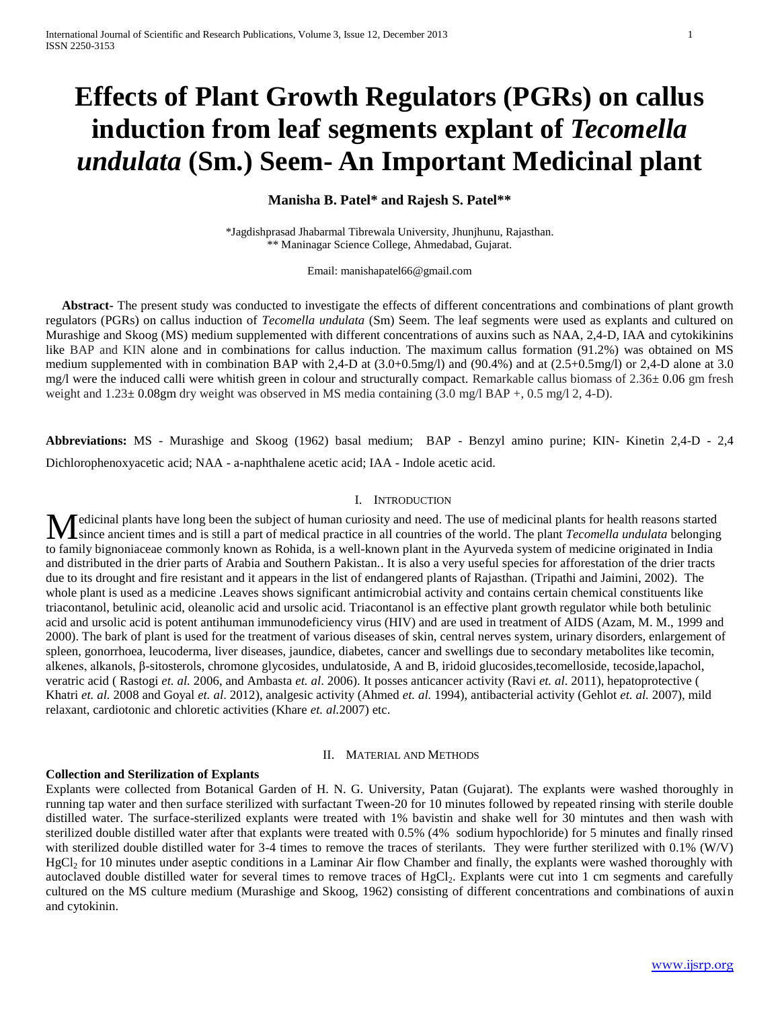# **Effects of Plant Growth Regulators (PGRs) on callus induction from leaf segments explant of** *Tecomella undulata* **(Sm.) Seem- An Important Medicinal plant**

## **Manisha B. Patel\* and Rajesh S. Patel\*\***

\*Jagdishprasad Jhabarmal Tibrewala University, Jhunjhunu, Rajasthan. \*\* Maninagar Science College, Ahmedabad, Gujarat.

Email: manishapatel66@gmail.com

 **Abstract-** The present study was conducted to investigate the effects of different concentrations and combinations of plant growth regulators (PGRs) on callus induction of *Tecomella undulata* (Sm) Seem. The leaf segments were used as explants and cultured on Murashige and Skoog (MS) medium supplemented with different concentrations of auxins such as NAA, 2,4-D, IAA and cytokikinins like BAP and KIN alone and in combinations for callus induction. The maximum callus formation (91.2%) was obtained on MS medium supplemented with in combination BAP with 2,4-D at (3.0+0.5mg/l) and (90.4%) and at (2.5+0.5mg/l) or 2,4-D alone at 3.0 mg/l were the induced calli were whitish green in colour and structurally compact. Remarkable callus biomass of  $2.36 \pm 0.06$  gm fresh weight and  $1.23 \pm 0.08$ gm dry weight was observed in MS media containing  $(3.0 \text{ mg}/1 \text{ BAP} + 0.5 \text{ mg}/1 \text{ 2, 4-D})$ .

**Abbreviations:** MS - Murashige and Skoog (1962) basal medium; BAP - Benzyl amino purine; KIN- Kinetin 2,4-D - 2,4 Dichlorophenoxyacetic acid; NAA - a-naphthalene acetic acid; IAA - Indole acetic acid.

#### I. INTRODUCTION

edicinal plants have long been the subject of human curiosity and need. The use of medicinal plants for health reasons started Medicinal plants have long been the subject of human curiosity and need. The use of medicinal plants for health reasons started since ancient times and is still a part of medical practice in all countries of the world. The to family bignoniaceae commonly known as Rohida, is a well-known plant in the Ayurveda system of medicine originated in India and distributed in the drier parts of Arabia and Southern Pakistan.. It is also a very useful species for afforestation of the drier tracts due to its drought and fire resistant and it appears in the list of endangered plants of Rajasthan. (Tripathi and Jaimini, 2002). The whole plant is used as a medicine .Leaves shows significant antimicrobial activity and contains certain chemical constituents like triacontanol, betulinic acid, oleanolic acid and ursolic acid. Triacontanol is an effective plant growth regulator while both betulinic acid and ursolic acid is potent antihuman immunodeficiency virus (HIV) and are used in treatment of AIDS (Azam, M. M., 1999 and 2000). The bark of plant is used for the treatment of various diseases of skin, central nerves system, urinary disorders, enlargement of spleen, gonorrhoea, leucoderma, liver diseases, jaundice, diabetes, cancer and swellings due to secondary metabolites like tecomin, alkenes, alkanols, β-sitosterols, chromone glycosides, undulatoside, A and B, iridoid glucosides,tecomelloside, tecoside,lapachol, veratric acid ( Rastogi *et. al.* 2006, and Ambasta *et. al*. 2006). It posses anticancer activity (Ravi *et. al*. 2011), hepatoprotective ( Khatri *et. al.* 2008 and Goyal *et. al*. 2012), analgesic activity (Ahmed *et. al.* 1994), antibacterial activity (Gehlot *et. al.* 2007), mild relaxant, cardiotonic and chloretic activities (Khare *et. al.*2007) etc.

#### II. MATERIAL AND METHODS

#### **Collection and Sterilization of Explants**

Explants were collected from Botanical Garden of H. N. G. University, Patan (Gujarat). The explants were washed thoroughly in running tap water and then surface sterilized with surfactant Tween-20 for 10 minutes followed by repeated rinsing with sterile double distilled water. The surface-sterilized explants were treated with 1% bavistin and shake well for 30 mintutes and then wash with sterilized double distilled water after that explants were treated with 0.5% (4% sodium hypochloride) for 5 minutes and finally rinsed with sterilized double distilled water for 3-4 times to remove the traces of sterilants. They were further sterilized with 0.1% (W/V) HgCl<sup>2</sup> for 10 minutes under aseptic conditions in a Laminar Air flow Chamber and finally, the explants were washed thoroughly with autoclaved double distilled water for several times to remove traces of HgCl<sub>2</sub>. Explants were cut into 1 cm segments and carefully cultured on the MS culture medium (Murashige and Skoog, 1962) consisting of different concentrations and combinations of auxin and cytokinin.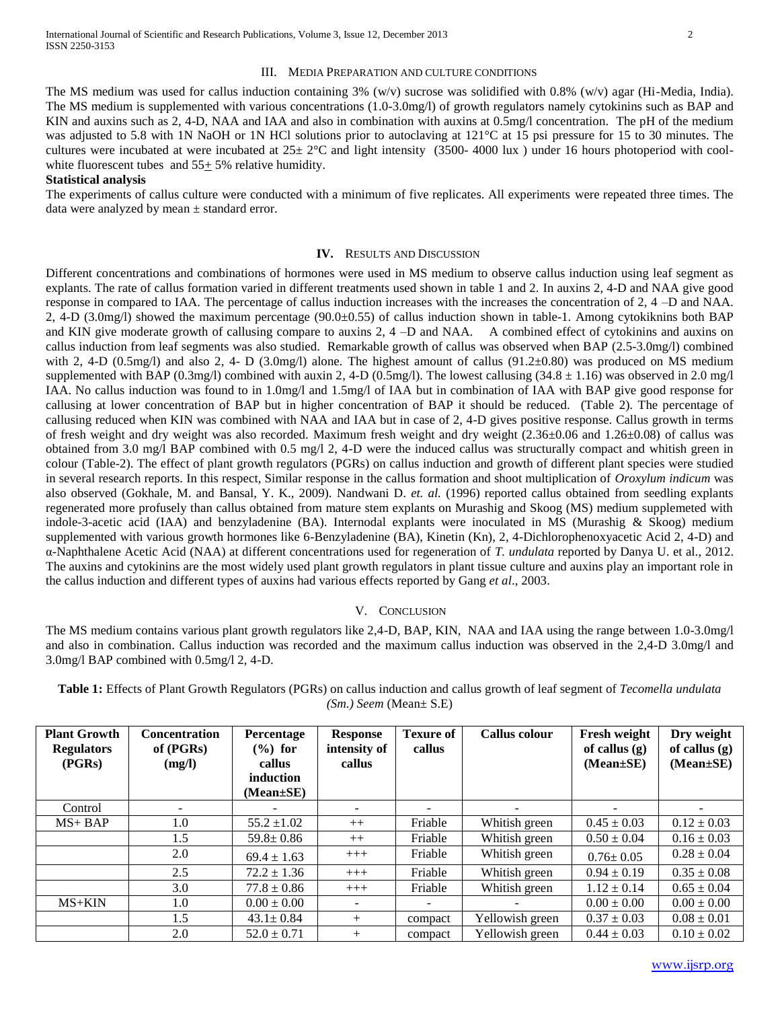#### III. MEDIA PREPARATION AND CULTURE CONDITIONS

The MS medium was used for callus induction containing  $3\%$  (w/v) sucrose was solidified with 0.8% (w/v) agar (Hi-Media, India). The MS medium is supplemented with various concentrations (1.0-3.0mg/l) of growth regulators namely cytokinins such as BAP and KIN and auxins such as 2, 4-D, NAA and IAA and also in combination with auxins at 0.5mg/l concentration. The pH of the medium was adjusted to 5.8 with 1N NaOH or 1N HCl solutions prior to autoclaving at 121°C at 15 psi pressure for 15 to 30 minutes. The cultures were incubated at were incubated at  $25 \pm 2$ °C and light intensity (3500-4000 lux) under 16 hours photoperiod with coolwhite fluorescent tubes and  $55+5%$  relative humidity.

#### **Statistical analysis**

The experiments of callus culture were conducted with a minimum of five replicates. All experiments were repeated three times. The data were analyzed by mean ± standard error.

#### **IV.** RESULTS AND DISCUSSION

Different concentrations and combinations of hormones were used in MS medium to observe callus induction using leaf segment as explants. The rate of callus formation varied in different treatments used shown in table 1 and 2. In auxins 2, 4-D and NAA give good response in compared to IAA. The percentage of callus induction increases with the increases the concentration of 2, 4 –D and NAA. 2, 4-D (3.0mg/l) showed the maximum percentage (90.0±0.55) of callus induction shown in table-1. Among cytokiknins both BAP and KIN give moderate growth of callusing compare to auxins 2, 4 –D and NAA. A combined effect of cytokinins and auxins on callus induction from leaf segments was also studied. Remarkable growth of callus was observed when BAP (2.5-3.0mg/l) combined with 2, 4-D (0.5mg/l) and also 2, 4- D (3.0mg/l) alone. The highest amount of callus (91.2 $\pm$ 0.80) was produced on MS medium supplemented with BAP (0.3mg/l) combined with auxin 2, 4-D (0.5mg/l). The lowest callusing (34.8  $\pm$  1.16) was observed in 2.0 mg/l IAA. No callus induction was found to in 1.0mg/l and 1.5mg/l of IAA but in combination of IAA with BAP give good response for callusing at lower concentration of BAP but in higher concentration of BAP it should be reduced. (Table 2). The percentage of callusing reduced when KIN was combined with NAA and IAA but in case of 2, 4-D gives positive response. Callus growth in terms of fresh weight and dry weight was also recorded. Maximum fresh weight and dry weight (2.36±0.06 and 1.26±0.08) of callus was obtained from 3.0 mg/l BAP combined with 0.5 mg/l 2, 4-D were the induced callus was structurally compact and whitish green in colour (Table-2). The effect of plant growth regulators (PGRs) on callus induction and growth of different plant species were studied in several research reports. In this respect, Similar response in the callus formation and shoot multiplication of *Oroxylum indicum* was also observed (Gokhale, M. and Bansal, Y. K., 2009). Nandwani D. *et. al.* (1996) reported callus obtained from seedling explants regenerated more profusely than callus obtained from mature stem explants on Murashig and Skoog (MS) medium supplemeted with indole-3-acetic acid (IAA) and benzyladenine (BA). Internodal explants were inoculated in MS (Murashig & Skoog) medium supplemented with various growth hormones like 6-Benzyladenine (BA), Kinetin (Kn), 2, 4-Dichlorophenoxyacetic Acid 2, 4-D) and α-Naphthalene Acetic Acid (NAA) at different concentrations used for regeneration of *T. undulata* reported by Danya U. et al., 2012. The auxins and cytokinins are the most widely used plant growth regulators in plant tissue culture and auxins play an important role in the callus induction and different types of auxins had various effects reported by Gang *et al*., 2003.

### V. CONCLUSION

The MS medium contains various plant growth regulators like 2,4-D, BAP, KIN, NAA and IAA using the range between 1.0-3.0mg/l and also in combination. Callus induction was recorded and the maximum callus induction was observed in the 2,4-D 3.0mg/l and 3.0mg/l BAP combined with 0.5mg/l 2, 4-D.

| <b>Plant Growth</b><br><b>Regulators</b><br>(PGRs) | <b>Concentration</b><br>of (PGRs)<br>(mg/l) | Percentage<br>$(\%)$ for<br>callus<br>induction<br>$(Mean \pm SE)$ | <b>Response</b><br>intensity of<br>callus | <b>Texure of</b><br>callus | <b>Callus colour</b> | Fresh weight<br>of callus $(g)$<br>$(Mean \pm SE)$ | Dry weight<br>of callus $(g)$<br>$(Mean \pm SE)$ |
|----------------------------------------------------|---------------------------------------------|--------------------------------------------------------------------|-------------------------------------------|----------------------------|----------------------|----------------------------------------------------|--------------------------------------------------|
| Control                                            |                                             |                                                                    |                                           |                            |                      |                                                    |                                                  |
| $MS+BAP$                                           | 1.0                                         | $55.2 \pm 1.02$                                                    | $++$                                      | Friable                    | Whitish green        | $0.45 \pm 0.03$                                    | $0.12 \pm 0.03$                                  |
|                                                    | 1.5                                         | $59.8 \pm 0.86$                                                    | $++$                                      | Friable                    | Whitish green        | $0.50 \pm 0.04$                                    | $0.16 \pm 0.03$                                  |
|                                                    | 2.0                                         | $69.4 \pm 1.63$                                                    | $+++$                                     | Friable                    | Whitish green        | $0.76 \pm 0.05$                                    | $0.28 \pm 0.04$                                  |
|                                                    | 2.5                                         | $72.2 \pm 1.36$                                                    | $+++$                                     | Friable                    | Whitish green        | $0.94 \pm 0.19$                                    | $0.35 \pm 0.08$                                  |
|                                                    | 3.0                                         | $77.8 \pm 0.86$                                                    | $+++$                                     | Friable                    | Whitish green        | $1.12 \pm 0.14$                                    | $0.65 \pm 0.04$                                  |
| $MS+KIN$                                           | 1.0                                         | $0.00 \pm 0.00$                                                    |                                           |                            |                      | $0.00 \pm 0.00$                                    | $0.00 \pm 0.00$                                  |
|                                                    | 1.5                                         | $43.1 \pm 0.84$                                                    | $^{+}$                                    | compact                    | Yellowish green      | $0.37 \pm 0.03$                                    | $0.08 \pm 0.01$                                  |
|                                                    | 2.0                                         | $52.0 \pm 0.71$                                                    | $+$                                       | compact                    | Yellowish green      | $0.44 \pm 0.03$                                    | $0.10 \pm 0.02$                                  |

**Table 1:** Effects of Plant Growth Regulators (PGRs) on callus induction and callus growth of leaf segment of *Tecomella undulata (Sm.) Seem* (Mean± S.E)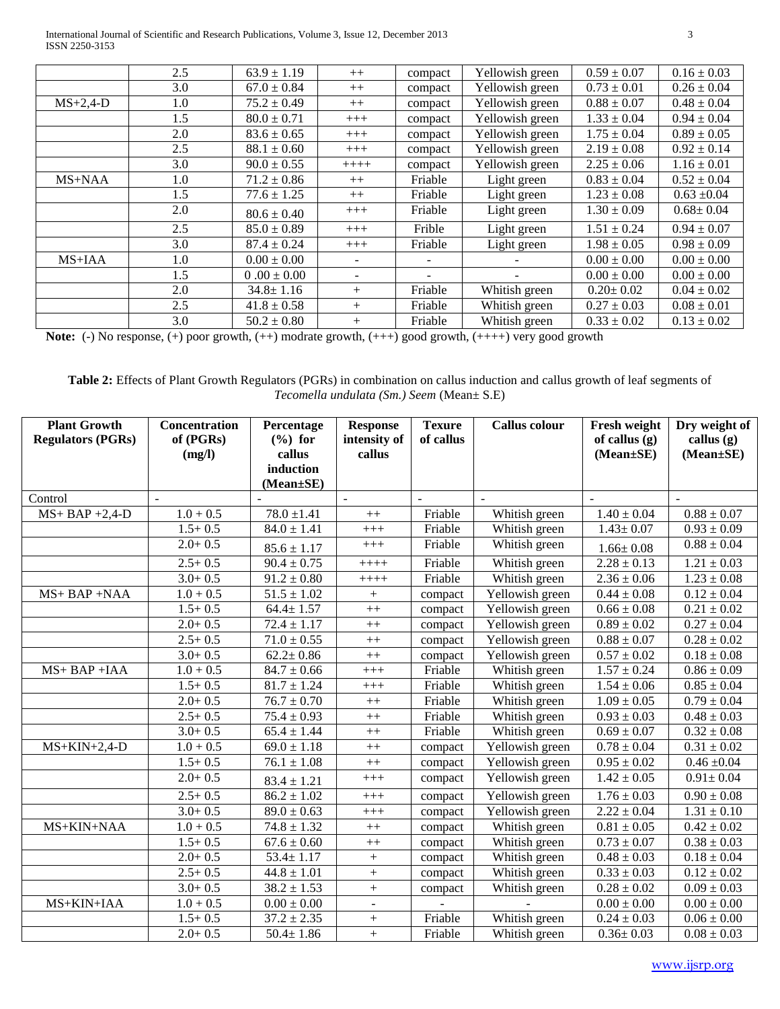International Journal of Scientific and Research Publications, Volume 3, Issue 12, December 2013 3 ISSN 2250-3153

|            | 2.5 | $63.9 \pm 1.19$ | $++$   | compact | Yellowish green | $0.59 \pm 0.07$ | $0.16 \pm 0.03$ |
|------------|-----|-----------------|--------|---------|-----------------|-----------------|-----------------|
|            | 3.0 | $67.0 \pm 0.84$ | $++$   | compact | Yellowish green | $0.73 \pm 0.01$ | $0.26 \pm 0.04$ |
| $MS+2,4-D$ | 1.0 | $75.2 \pm 0.49$ | $++$   | compact | Yellowish green | $0.88 \pm 0.07$ | $0.48 \pm 0.04$ |
|            | 1.5 | $80.0 \pm 0.71$ | $+++$  | compact | Yellowish green | $1.33 \pm 0.04$ | $0.94 \pm 0.04$ |
|            | 2.0 | $83.6 \pm 0.65$ | $+++$  | compact | Yellowish green | $1.75 \pm 0.04$ | $0.89 \pm 0.05$ |
|            | 2.5 | $88.1 \pm 0.60$ | $+++$  | compact | Yellowish green | $2.19 \pm 0.08$ | $0.92 \pm 0.14$ |
|            | 3.0 | $90.0 \pm 0.55$ | $++++$ | compact | Yellowish green | $2.25 \pm 0.06$ | $1.16 \pm 0.01$ |
| MS+NAA     | 1.0 | $71.2 \pm 0.86$ | $++$   | Friable | Light green     | $0.83 \pm 0.04$ | $0.52 \pm 0.04$ |
|            | 1.5 | $77.6 \pm 1.25$ | $++$   | Friable | Light green     | $1.23 \pm 0.08$ | $0.63 \pm 0.04$ |
|            | 2.0 | $80.6 \pm 0.40$ | $+++$  | Friable | Light green     | $1.30 \pm 0.09$ | $0.68 \pm 0.04$ |
|            | 2.5 | $85.0 \pm 0.89$ | $+++$  | Frible  | Light green     | $1.51 \pm 0.24$ | $0.94 \pm 0.07$ |
|            | 3.0 | $87.4 \pm 0.24$ | $+++$  | Friable | Light green     | $1.98 \pm 0.05$ | $0.98 \pm 0.09$ |
| MS+IAA     | 1.0 | $0.00 \pm 0.00$ |        |         |                 | $0.00 \pm 0.00$ | $0.00 \pm 0.00$ |
|            | 1.5 | $0.00 \pm 0.00$ |        |         |                 | $0.00 \pm 0.00$ | $0.00 \pm 0.00$ |
|            | 2.0 | $34.8 \pm 1.16$ | $+$    | Friable | Whitish green   | $0.20 \pm 0.02$ | $0.04 \pm 0.02$ |
|            | 2.5 | $41.8 \pm 0.58$ | $+$    | Friable | Whitish green   | $0.27 \pm 0.03$ | $0.08 \pm 0.01$ |
|            | 3.0 | $50.2 \pm 0.80$ | $^{+}$ | Friable | Whitish green   | $0.33 \pm 0.02$ | $0.13 \pm 0.02$ |

**Note:** (-) No response, (+) poor growth, (++) modrate growth, (+++) good growth, (++++) very good growth

**Table 2:** Effects of Plant Growth Regulators (PGRs) in combination on callus induction and callus growth of leaf segments of *Tecomella undulata (Sm.) Seem* (Mean± S.E)

| <b>Plant Growth</b>      | Concentration | Percentage      | <b>Response</b> | <b>Texure</b> | <b>Callus colour</b> | Fresh weight               | Dry weight of              |
|--------------------------|---------------|-----------------|-----------------|---------------|----------------------|----------------------------|----------------------------|
| <b>Regulators (PGRs)</b> | of (PGRs)     | $(\%)$ for      | intensity of    | of callus     |                      | of callus $(g)$            | callus $(g)$               |
|                          | (mg/l)        | callus          | callus          |               |                      | (Mean±SE)                  | $(Mean \pm SE)$            |
|                          |               | induction       |                 |               |                      |                            |                            |
|                          |               | (Mean±SE)       |                 |               |                      |                            |                            |
| Control                  |               |                 |                 |               |                      | $\mathbf{r}$               |                            |
| $MS+BAP+2,4-D$           | $1.0 + 0.5$   | $78.0 \pm 1.41$ | $++$            | Friable       | Whitish green        | $1.40 \pm 0.04$            | $0.88 \pm 0.07$            |
|                          | $1.5 + 0.5$   | $84.0 \pm 1.41$ | $^{+++}$        | Friable       | Whitish green        | $1.43 \pm 0.07$            | $\overline{0.93} \pm 0.09$ |
|                          | $2.0 + 0.5$   | $85.6 \pm 1.17$ | $+++$           | Friable       | Whitish green        | $1.66 \pm 0.08$            | $0.88 \pm 0.04$            |
|                          | $2.5 + 0.5$   | $90.4 \pm 0.75$ | $++++-$         | Friable       | Whitish green        | $2.28 \pm 0.13$            | $1.21 \pm 0.03$            |
|                          | $3.0 + 0.5$   | $91.2 \pm 0.80$ | $+++++$         | Friable       | Whitish green        | $2.36 \pm 0.06$            | $1.23 \pm 0.08$            |
| MS+BAP+NAA               | $1.0 + 0.5$   | $51.5 \pm 1.02$ | $+$             | compact       | Yellowish green      | $0.44 \pm 0.08$            | $0.12 \pm 0.04$            |
|                          | $1.5 + 0.5$   | $64.4 \pm 1.57$ | $++$            | compact       | Yellowish green      | $0.66 \pm 0.08$            | $0.21 \pm 0.02$            |
|                          | $2.0 + 0.5$   | $72.4 \pm 1.17$ | $++$            | compact       | Yellowish green      | $0.89 \pm 0.02$            | $0.27 \pm 0.04$            |
|                          | $2.5 + 0.5$   | $71.0 \pm 0.55$ | $++$            | compact       | Yellowish green      | $0.88\pm0.07$              | $0.28 \pm 0.02$            |
|                          | $3.0 + 0.5$   | $62.2 \pm 0.86$ | $++$            | compact       | Yellowish green      | $0.57 \pm 0.02$            | $0.18 \pm 0.08$            |
| MS+BAP+IAA               | $1.0 + 0.5$   | $84.7 \pm 0.66$ | $^{+++}$        | Friable       | Whitish green        | $1.57 \pm 0.24$            | $0.86 \pm 0.09$            |
|                          | $1.5 + 0.5$   | $81.7 \pm 1.24$ | $+++$           | Friable       | Whitish green        | $1.54 \pm 0.06$            | $0.85 \pm 0.04$            |
|                          | $2.0+0.5$     | $76.7 \pm 0.70$ | $++$            | Friable       | Whitish green        | $\overline{1.09} \pm 0.05$ | $\overline{0.79} \pm 0.04$ |
|                          | $2.5 + 0.5$   | $75.4 \pm 0.93$ | $++$            | Friable       | Whitish green        | $\sqrt{0.93} \pm 0.03$     | $0.48 \pm 0.03$            |
|                          | $3.0 + 0.5$   | $65.4 \pm 1.44$ | $++$            | Friable       | Whitish green        | $0.69 \pm 0.07$            | $0.32 \pm 0.08$            |
| $MS+KIN+2,4-D$           | $1.0 + 0.5$   | $69.0 \pm 1.18$ | $++$            | compact       | Yellowish green      | $0.78 \pm 0.04$            | $0.31\pm0.02$              |
|                          | $1.5 + 0.5$   | $76.1 \pm 1.08$ | $^{++}$         | compact       | Yellowish green      | $0.95 \pm 0.02$            | $0.46\pm0.04$              |
|                          | $2.0 + 0.5$   | $83.4 \pm 1.21$ | $^{+++}$        | compact       | Yellowish green      | $1.42 \pm 0.05$            | $0.91 \pm 0.04$            |
|                          | $2.5 + 0.5$   | $86.2 \pm 1.02$ | $+++$           | compact       | Yellowish green      | $1.76 \pm 0.03$            | $0.90 \pm 0.08$            |
|                          | $3.0 + 0.5$   | $89.0 \pm 0.63$ | $+++$           | compact       | Yellowish green      | $2.22 \pm 0.04$            | $1.31 \pm 0.10$            |
| MS+KIN+NAA               | $1.0 + 0.5$   | $74.8 \pm 1.32$ | $++$            | compact       | Whitish green        | $0.81\pm0.05$              | $0.42 \pm 0.02$            |
|                          | $1.5 + 0.5$   | $67.6 \pm 0.60$ | $++$            | compact       | Whitish green        | $0.73 \pm 0.07$            | $\overline{0.38} \pm 0.03$ |
|                          | $2.0 + 0.5$   | $53.4 \pm 1.17$ | $+$             | compact       | Whitish green        | $0.48 \pm 0.03$            | $0.18 \pm 0.04$            |
|                          | $2.5 + 0.5$   | $44.8 \pm 1.01$ | $^{+}$          | compact       | Whitish green        | $0.33 \pm 0.03$            | $0.12 \pm 0.02$            |
|                          | $3.0 + 0.5$   | $38.2 \pm 1.53$ | $\! +$          | compact       | Whitish green        | $0.28 \pm 0.02$            | $0.09 \pm 0.03$            |
| MS+KIN+IAA               | $1.0 + 0.5$   | $0.00 \pm 0.00$ | $\blacksquare$  |               |                      | $0.00\pm0.00$              | $0.00 \pm 0.00$            |
|                          | $1.5 + 0.5$   | $37.2 \pm 2.35$ | $+$             | Friable       | Whitish green        | $0.24 \pm 0.03$            | $0.06\pm0.00$              |
|                          | $2.0 + 0.5$   | $50.4 \pm 1.86$ | $^{+}$          | Friable       | Whitish green        | $0.36 \pm 0.03$            | $0.08 \pm 0.03$            |